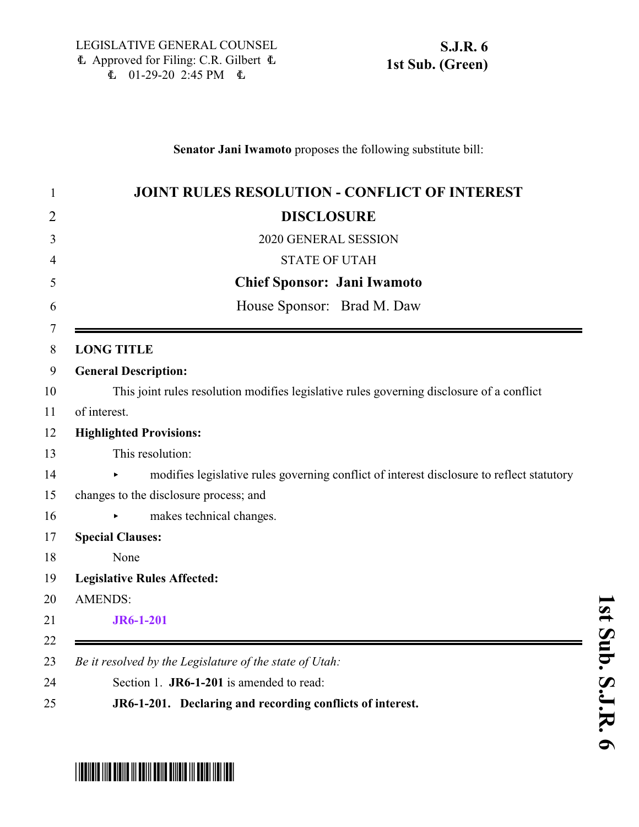### **Senator Jani Iwamoto** proposes the following substitute bill:

| <b>JOINT RULES RESOLUTION - CONFLICT OF INTEREST</b>                                      |
|-------------------------------------------------------------------------------------------|
| <b>DISCLOSURE</b>                                                                         |
| 2020 GENERAL SESSION                                                                      |
| <b>STATE OF UTAH</b>                                                                      |
| <b>Chief Sponsor: Jani Iwamoto</b>                                                        |
| House Sponsor: Brad M. Daw                                                                |
| <b>LONG TITLE</b>                                                                         |
| <b>General Description:</b>                                                               |
| This joint rules resolution modifies legislative rules governing disclosure of a conflict |
| of interest.                                                                              |
| <b>Highlighted Provisions:</b>                                                            |
| This resolution:                                                                          |
| modifies legislative rules governing conflict of interest disclosure to reflect statutory |
| changes to the disclosure process; and                                                    |
| makes technical changes.                                                                  |
| <b>Special Clauses:</b>                                                                   |
| None                                                                                      |
| <b>Legislative Rules Affected:</b>                                                        |
| <b>AMENDS:</b>                                                                            |
| <b>JR6-1-201</b>                                                                          |
|                                                                                           |
| Be it resolved by the Legislature of the state of Utah:                                   |
| Section 1. JR6-1-201 is amended to read:                                                  |
| JR6-1-201. Declaring and recording conflicts of interest.                                 |

# **s t S u b. S.J.R.**

# <span id="page-0-0"></span>\* STRONG IN THE TIME IN THE TIME IN THE STRONG IN THE STRONG IN THE STRONG IN THE STRONG IN THE STRONG IN THE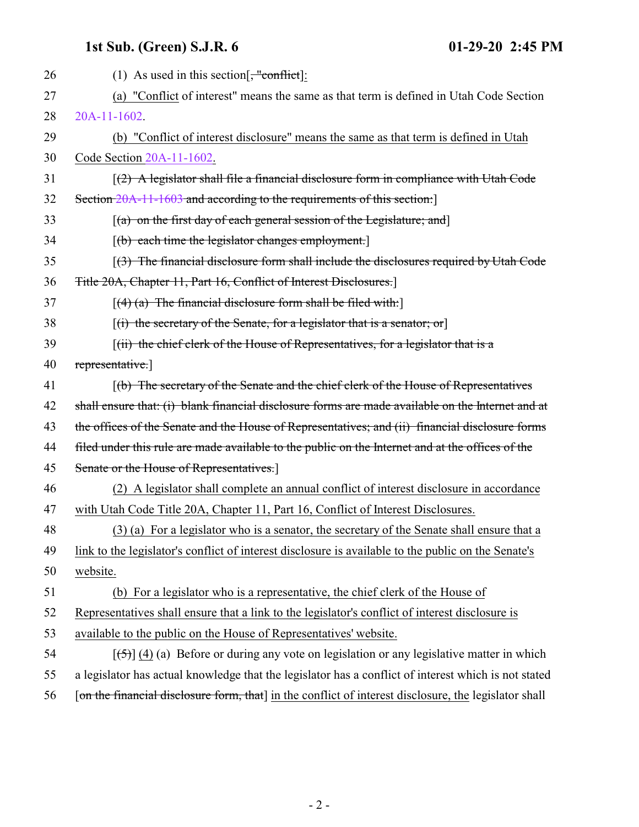## **1st Sub. (Green) S.J.R. 6 01-29-20 2:45 PM**

| 26 | (1) As used in this section $\frac{1}{2}$ conflict.                                                   |
|----|-------------------------------------------------------------------------------------------------------|
| 27 | (a) "Conflict of interest" means the same as that term is defined in Utah Code Section                |
| 28 | 20A-11-1602.                                                                                          |
| 29 | (b) "Conflict of interest disclosure" means the same as that term is defined in Utah                  |
| 30 | Code Section 20A-11-1602.                                                                             |
| 31 | $(2)$ A legislator shall file a financial disclosure form in compliance with Utah Code                |
| 32 | Section 20A-11-1603 and according to the requirements of this section:                                |
| 33 | $[(a)$ on the first day of each general session of the Legislature; and                               |
| 34 | $[10]$ each time the legislator changes employment.                                                   |
| 35 | $(3)$ The financial disclosure form shall include the disclosures required by Utah Code               |
| 36 | Title 20A, Chapter 11, Part 16, Conflict of Interest Disclosures.                                     |
| 37 | $[(4)$ (a) The financial disclosure form shall be filed with:                                         |
| 38 | $[(i)$ the secretary of the Senate, for a legislator that is a senator; or                            |
| 39 | $(iii)$ the chief clerk of the House of Representatives, for a legislator that is a                   |
| 40 | representative.                                                                                       |
| 41 | [(b) The secretary of the Senate and the chief clerk of the House of Representatives                  |
| 42 | shall ensure that: (i) blank financial disclosure forms are made available on the Internet and at     |
| 43 | the offices of the Senate and the House of Representatives; and (ii) financial disclosure forms       |
| 44 | filed under this rule are made available to the public on the Internet and at the offices of the      |
| 45 | Senate or the House of Representatives.]                                                              |
| 46 | (2) A legislator shall complete an annual conflict of interest disclosure in accordance               |
| 47 | with Utah Code Title 20A, Chapter 11, Part 16, Conflict of Interest Disclosures.                      |
| 48 | (3) (a) For a legislator who is a senator, the secretary of the Senate shall ensure that a            |
| 49 | link to the legislator's conflict of interest disclosure is available to the public on the Senate's   |
| 50 | website.                                                                                              |
| 51 | (b) For a legislator who is a representative, the chief clerk of the House of                         |
| 52 | Representatives shall ensure that a link to the legislator's conflict of interest disclosure is       |
| 53 | available to the public on the House of Representatives' website.                                     |
| 54 | $[5]$ (4) (a) Before or during any vote on legislation or any legislative matter in which             |
| 55 | a legislator has actual knowledge that the legislator has a conflict of interest which is not stated  |
| 56 | [on the financial disclosure form, that] in the conflict of interest disclosure, the legislator shall |